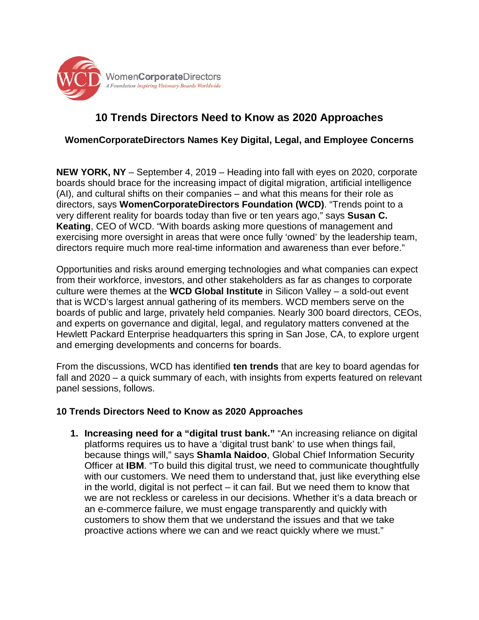

## **10 Trends Directors Need to Know as 2020 Approaches**

## **WomenCorporateDirectors Names Key Digital, Legal, and Employee Concerns**

**NEW YORK, NY** – September 4, 2019 – Heading into fall with eyes on 2020, corporate boards should brace for the increasing impact of digital migration, artificial intelligence (AI), and cultural shifts on their companies – and what this means for their role as directors, says **WomenCorporateDirectors Foundation (WCD)**. "Trends point to a very different reality for boards today than five or ten years ago," says **Susan C. Keating**, CEO of WCD. "With boards asking more questions of management and exercising more oversight in areas that were once fully 'owned' by the leadership team, directors require much more real-time information and awareness than ever before."

Opportunities and risks around emerging technologies and what companies can expect from their workforce, investors, and other stakeholders as far as changes to corporate culture were themes at the **WCD Global Institute** in Silicon Valley – a sold-out event that is WCD's largest annual gathering of its members. WCD members serve on the boards of public and large, privately held companies. Nearly 300 board directors, CEOs, and experts on governance and digital, legal, and regulatory matters convened at the Hewlett Packard Enterprise headquarters this spring in San Jose, CA, to explore urgent and emerging developments and concerns for boards.

From the discussions, WCD has identified **ten trends** that are key to board agendas for fall and 2020 – a quick summary of each, with insights from experts featured on relevant panel sessions, follows.

## **10 Trends Directors Need to Know as 2020 Approaches**

**1. Increasing need for a "digital trust bank."** "An increasing reliance on digital platforms requires us to have a 'digital trust bank' to use when things fail, because things will," says **Shamla Naidoo**, Global Chief Information Security Officer at **IBM**. "To build this digital trust, we need to communicate thoughtfully with our customers. We need them to understand that, just like everything else in the world, digital is not perfect – it can fail. But we need them to know that we are not reckless or careless in our decisions. Whether it's a data breach or an e-commerce failure, we must engage transparently and quickly with customers to show them that we understand the issues and that we take proactive actions where we can and we react quickly where we must."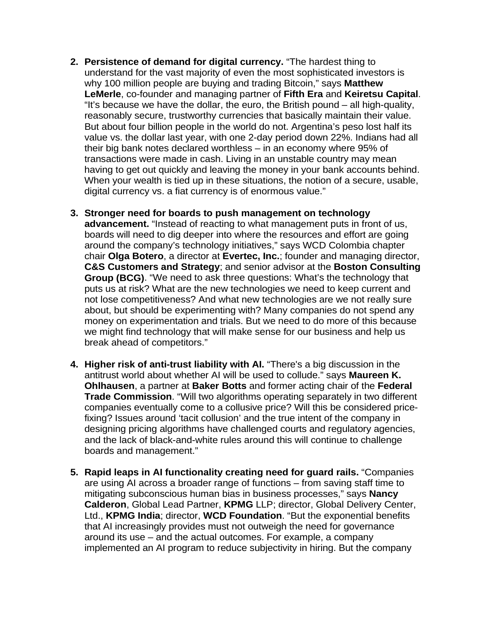- **2. Persistence of demand for digital currency.** "The hardest thing to understand for the vast majority of even the most sophisticated investors is why 100 million people are buying and trading Bitcoin," says **Matthew LeMerle**, co-founder and managing partner of **Fifth Era** and **Keiretsu Capital**. "It's because we have the dollar, the euro, the British pound – all high-quality, reasonably secure, trustworthy currencies that basically maintain their value. But about four billion people in the world do not. Argentina's peso lost half its value vs. the dollar last year, with one 2-day period down 22%. Indians had all their big bank notes declared worthless – in an economy where 95% of transactions were made in cash. Living in an unstable country may mean having to get out quickly and leaving the money in your bank accounts behind. When your wealth is tied up in these situations, the notion of a secure, usable, digital currency vs. a fiat currency is of enormous value."
- **3. Stronger need for boards to push management on technology advancement.** "Instead of reacting to what management puts in front of us, boards will need to dig deeper into where the resources and effort are going around the company's technology initiatives," says WCD Colombia chapter chair **Olga Botero**, a director at **Evertec, Inc.**; founder and managing director, **C&S Customers and Strategy**; and senior advisor at the **Boston Consulting Group (BCG)**. "We need to ask three questions: What's the technology that puts us at risk? What are the new technologies we need to keep current and not lose competitiveness? And what new technologies are we not really sure about, but should be experimenting with? Many companies do not spend any money on experimentation and trials. But we need to do more of this because we might find technology that will make sense for our business and help us break ahead of competitors."
- **4. Higher risk of anti-trust liability with AI.** "There's a big discussion in the antitrust world about whether AI will be used to collude." says **Maureen K. Ohlhausen**, a partner at **Baker Botts** and former acting chair of the **Federal Trade Commission**. "Will two algorithms operating separately in two different companies eventually come to a collusive price? Will this be considered pricefixing? Issues around 'tacit collusion' and the true intent of the company in designing pricing algorithms have challenged courts and regulatory agencies, and the lack of black-and-white rules around this will continue to challenge boards and management."
- **5. Rapid leaps in AI functionality creating need for guard rails.** "Companies are using AI across a broader range of functions – from saving staff time to mitigating subconscious human bias in business processes," says **Nancy Calderon**, Global Lead Partner, **KPMG** LLP; director, Global Delivery Center, Ltd., **KPMG India**; director, **WCD Foundation**. "But the exponential benefits that AI increasingly provides must not outweigh the need for governance around its use – and the actual outcomes. For example, a company implemented an AI program to reduce subjectivity in hiring. But the company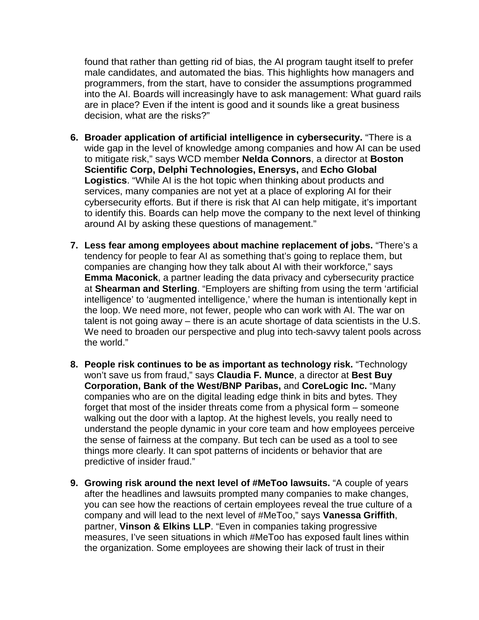found that rather than getting rid of bias, the AI program taught itself to prefer male candidates, and automated the bias. This highlights how managers and programmers, from the start, have to consider the assumptions programmed into the AI. Boards will increasingly have to ask management: What guard rails are in place? Even if the intent is good and it sounds like a great business decision, what are the risks?"

- **6. Broader application of artificial intelligence in cybersecurity.** "There is a wide gap in the level of knowledge among companies and how AI can be used to mitigate risk," says WCD member **Nelda Connors**, a director at **Boston Scientific Corp, Delphi Technologies, Enersys,** and **Echo Global Logistics**. "While AI is the hot topic when thinking about products and services, many companies are not yet at a place of exploring AI for their cybersecurity efforts. But if there is risk that AI can help mitigate, it's important to identify this. Boards can help move the company to the next level of thinking around AI by asking these questions of management."
- **7. Less fear among employees about machine replacement of jobs.** "There's a tendency for people to fear AI as something that's going to replace them, but companies are changing how they talk about AI with their workforce," says **Emma Maconick**, a partner leading the data privacy and cybersecurity practice at **Shearman and Sterling**. "Employers are shifting from using the term 'artificial intelligence' to 'augmented intelligence,' where the human is intentionally kept in the loop. We need more, not fewer, people who can work with AI. The war on talent is not going away – there is an acute shortage of data scientists in the U.S. We need to broaden our perspective and plug into tech-savvy talent pools across the world."
- **8. People risk continues to be as important as technology risk.** "Technology won't save us from fraud," says **Claudia F. Munce**, a director at **Best Buy Corporation, Bank of the West/BNP Paribas,** and **CoreLogic Inc.** "Many companies who are on the digital leading edge think in bits and bytes. They forget that most of the insider threats come from a physical form – someone walking out the door with a laptop. At the highest levels, you really need to understand the people dynamic in your core team and how employees perceive the sense of fairness at the company. But tech can be used as a tool to see things more clearly. It can spot patterns of incidents or behavior that are predictive of insider fraud."
- **9. Growing risk around the next level of #MeToo lawsuits.** "A couple of years after the headlines and lawsuits prompted many companies to make changes, you can see how the reactions of certain employees reveal the true culture of a company and will lead to the next level of #MeToo," says **Vanessa Griffith**, partner, **Vinson & Elkins LLP**. "Even in companies taking progressive measures, I've seen situations in which #MeToo has exposed fault lines within the organization. Some employees are showing their lack of trust in their